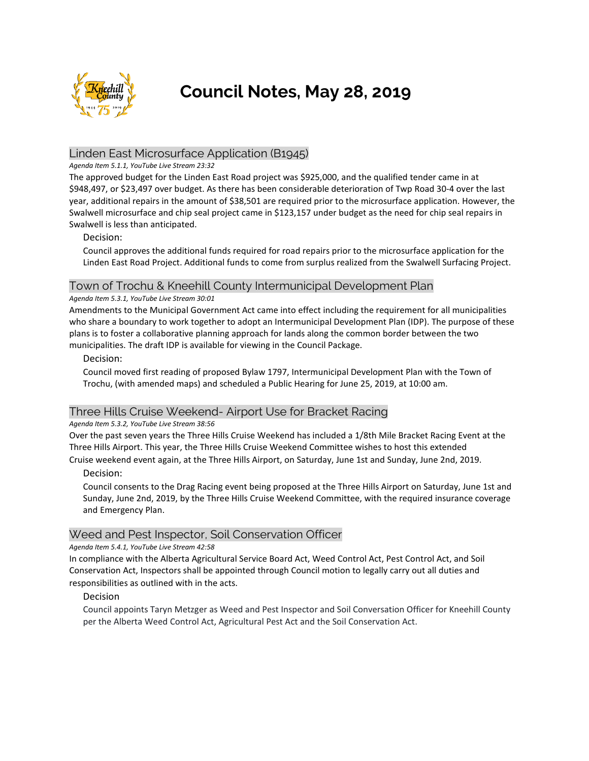

# **Council Notes, May 28, 2019**

# Linden East Microsurface Application (B1945)

#### *Agenda Item 5.1.1, YouTube Live Stream 23:32*

The approved budget for the Linden East Road project was \$925,000, and the qualified tender came in at \$948,497, or \$23,497 over budget. As there has been considerable deterioration of Twp Road 30-4 over the last year, additional repairs in the amount of \$38,501 are required prior to the microsurface application. However, the Swalwell microsurface and chip seal project came in \$123,157 under budget as the need for chip seal repairs in Swalwell is less than anticipated.

### Decision:

Council approves the additional funds required for road repairs prior to the microsurface application for the Linden East Road Project. Additional funds to come from surplus realized from the Swalwell Surfacing Project.

### Town of Trochu & Kneehill County Intermunicipal Development Plan

#### *Agenda Item 5.3.1, YouTube Live Stream 30:01*

Amendments to the Municipal Government Act came into effect including the requirement for all municipalities who share a boundary to work together to adopt an Intermunicipal Development Plan (IDP). The purpose of these plans is to foster a collaborative planning approach for lands along the common border between the two municipalities. The draft IDP is available for viewing in the Council Package.

### Decision:

Council moved first reading of proposed Bylaw 1797, Intermunicipal Development Plan with the Town of Trochu, (with amended maps) and scheduled a Public Hearing for June 25, 2019, at 10:00 am.

# Three Hills Cruise Weekend- Airport Use for Bracket Racing

*Agenda Item 5.3.2, YouTube Live Stream 38:56*

Over the past seven years the Three Hills Cruise Weekend has included a 1/8th Mile Bracket Racing Event at the Three Hills Airport. This year, the Three Hills Cruise Weekend Committee wishes to host this extended Cruise weekend event again, at the Three Hills Airport, on Saturday, June 1st and Sunday, June 2nd, 2019.

#### Decision:

Council consents to the Drag Racing event being proposed at the Three Hills Airport on Saturday, June 1st and Sunday, June 2nd, 2019, by the Three Hills Cruise Weekend Committee, with the required insurance coverage and Emergency Plan.

# Weed and Pest Inspector, Soil Conservation Officer

#### *Agenda Item 5.4.1, YouTube Live Stream 42:58*

In compliance with the Alberta Agricultural Service Board Act, Weed Control Act, Pest Control Act, and Soil Conservation Act, Inspectors shall be appointed through Council motion to legally carry out all duties and responsibilities as outlined with in the acts.

#### Decision

Council appoints Taryn Metzger as Weed and Pest Inspector and Soil Conversation Officer for Kneehill County per the Alberta Weed Control Act, Agricultural Pest Act and the Soil Conservation Act.